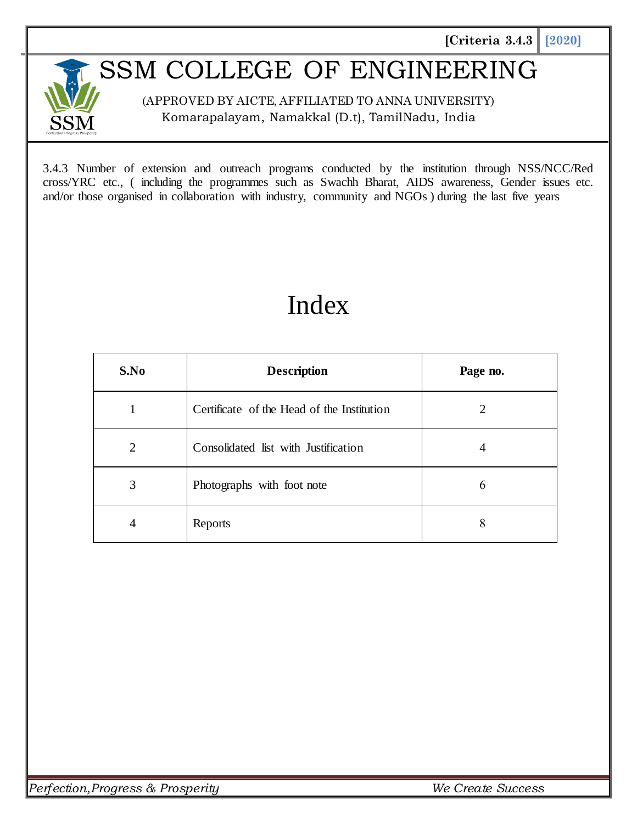## SSM COLLEGE OF ENGINEERING

(APPROVED BY AICTE, AFFILIATED TO ANNA UNIVERSITY) Komarapalayam, Namakkal (D.t), TamilNadu, India

3.4.3 Number of extension and outreach programs conducted by the institution through NSS/NCC/Red cross/YRC etc., ( including the programmes such as Swachh Bharat, AIDS awareness, Gender issues etc. and/or those organised in collaboration with industry, community and NGOs ) during the last five years

## Index

| S.No           | <b>Description</b>                         | Page no. |
|----------------|--------------------------------------------|----------|
| $\mathbf{1}$   | Certificate of the Head of the Institution | 2        |
| $\overline{2}$ | Consolidated list with Justification       | 4        |
| 3              | Photographs with foot note                 | 6        |
| 4              | Reports                                    | 8        |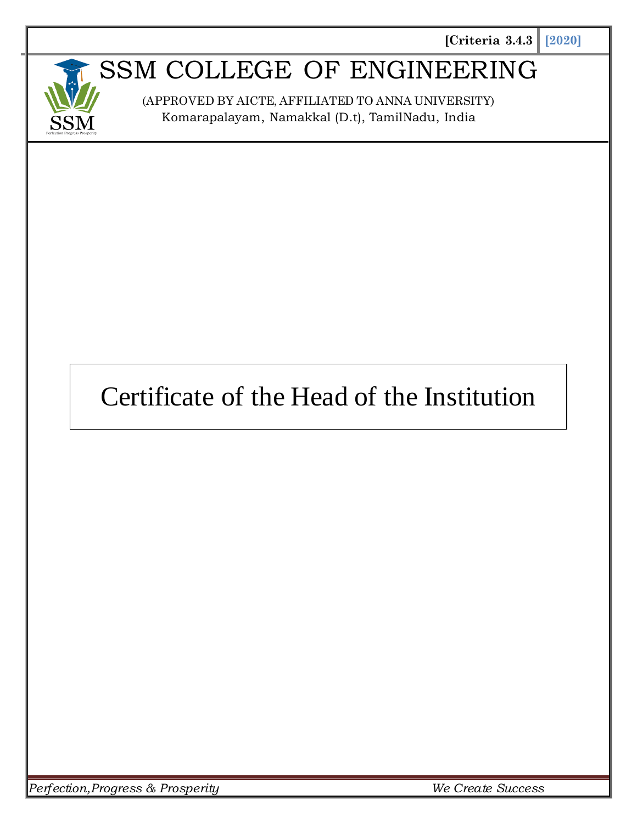

## SSM COLLEGE OF ENGINEERING

(APPROVED BY AICTE, AFFILIATED TO ANNA UNIVERSITY) Komarapalayam, Namakkal (D.t), TamilNadu, India

# Certificate of the Head of the Institution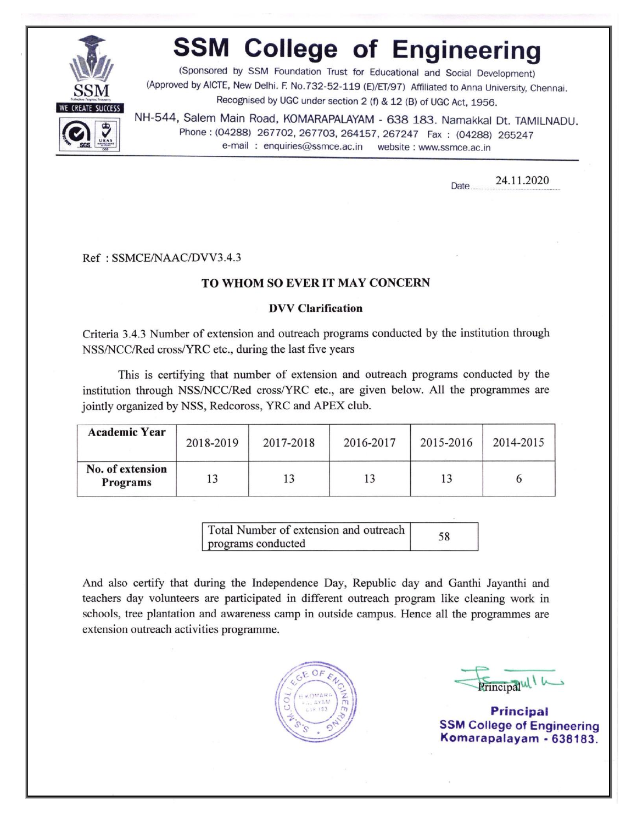

# **SSM College of Engineering**

(Sponsored by SSM Foundation Trust for Educational and Social Development)<br>(Approved by AICTE, New Delhi. F. No.732-52-119 (E)/ET/97) Affiliated to Anna University, Chennai. Recognised by UGC under section 2 (f) & 12 (B) of UGC Act, 1956.

NH-544, Salem Main Road, KOMARAPALAYAM - 638 183. Namakkal Dt. TAMILNADU. Phone: (04288) 267702, 267703, 264157, 267247 Fax: (04288) 265247 e-mail: enquiries@ssmce.ac.in website: www.ssmce.ac.in

> 24.11.2020 Date.

#### Ref: SSMCE/NAAC/DVV3.4.3

#### TO WHOM SO EVER IT MAY CONCERN

#### **DVV Clarification**

Criteria 3.4.3 Number of extension and outreach programs conducted by the institution through NSS/NCC/Red cross/YRC etc., during the last five years

This is certifying that number of extension and outreach programs conducted by the institution through NSS/NCC/Red cross/YRC etc., are given below. All the programmes are jointly organized by NSS, Redcoross, YRC and APEX club.

| <b>Academic Year</b>         | 2018-2019 | 2017-2018 | 2016-2017 | 2015-2016 | 2014-2015 |
|------------------------------|-----------|-----------|-----------|-----------|-----------|
| No. of extension<br>Programs |           |           |           |           |           |

Total Number of extension and outreach 58 programs conducted

And also certify that during the Independence Day, Republic day and Ganthi Jayanthi and teachers day volunteers are participated in different outreach program like cleaning work in schools, tree plantation and awareness camp in outside campus. Hence all the programmes are extension outreach activities programme.



Principalul I

**Principal SSM College of Engineering** Komarapalayam - 638183.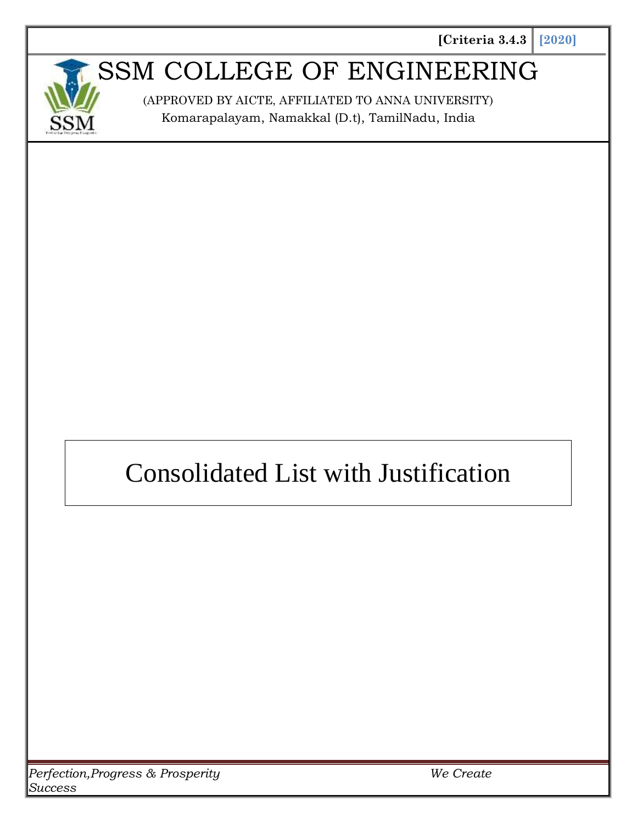

## SSM COLLEGE OF ENGINEERING

(APPROVED BY AICTE, AFFILIATED TO ANNA UNIVERSITY) Komarapalayam, Namakkal (D.t), TamilNadu, India

# Consolidated List with Justification

*Perfection,Progress & Prosperity We Create Success*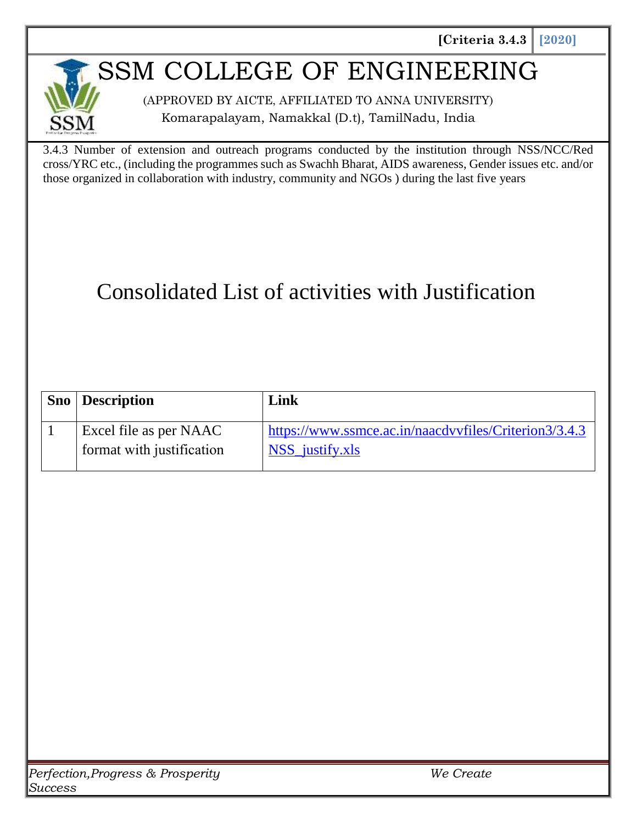### SSM COLLEGE OF ENGINEERING

(APPROVED BY AICTE, AFFILIATED TO ANNA UNIVERSITY) Komarapalayam, Namakkal (D.t), TamilNadu, India

3.4.3 Number of extension and outreach programs conducted by the institution through NSS/NCC/Red cross/YRC etc., (including the programmes such as Swachh Bharat, AIDS awareness, Gender issues etc. and/or those organized in collaboration with industry, community and NGOs ) during the last five years

### Consolidated List of activities with Justification

| <b>Sno</b> Description    | Link                                                  |
|---------------------------|-------------------------------------------------------|
| Excel file as per NAAC    | https://www.ssmce.ac.in/naacdvvfiles/Criterion3/3.4.3 |
| format with justification | NSS_justify.xls                                       |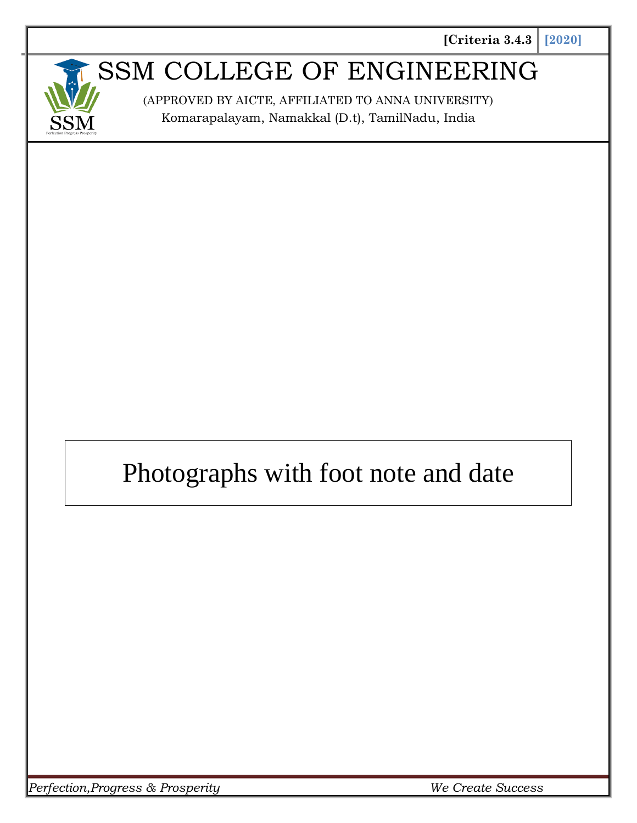

## SSM COLLEGE OF ENGINEERING

(APPROVED BY AICTE, AFFILIATED TO ANNA UNIVERSITY) Komarapalayam, Namakkal (D.t), TamilNadu, India

# Photographs with foot note and date

*Perfection,Progress & Prosperity We Create Success*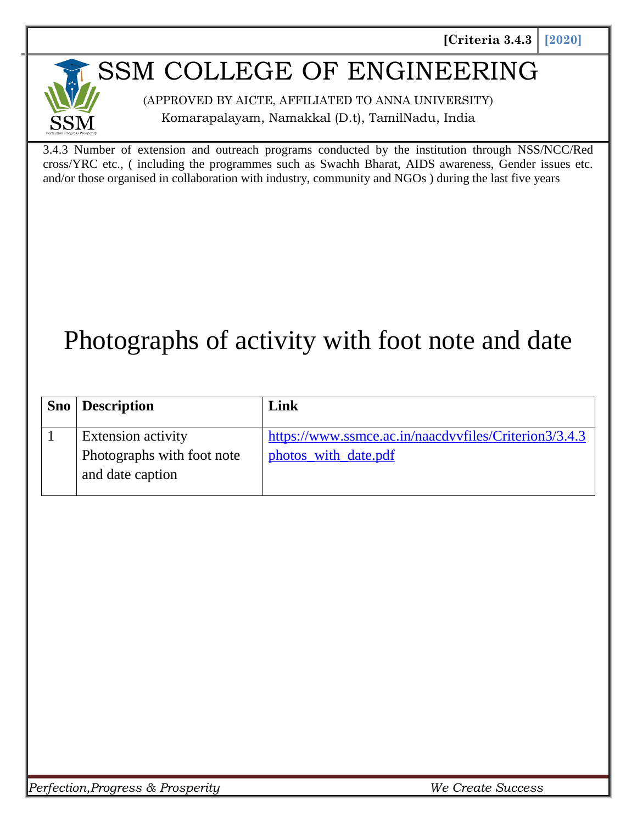### SSM COLLEGE OF ENGINEERING

(APPROVED BY AICTE, AFFILIATED TO ANNA UNIVERSITY) Komarapalayam, Namakkal (D.t), TamilNadu, India

3.4.3 Number of extension and outreach programs conducted by the institution through NSS/NCC/Red cross/YRC etc., ( including the programmes such as Swachh Bharat, AIDS awareness, Gender issues etc. and/or those organised in collaboration with industry, community and NGOs ) during the last five years

# Photographs of activity with foot note and date

| <b>Sno</b> Description     | Link                                                  |
|----------------------------|-------------------------------------------------------|
| <b>Extension activity</b>  | https://www.ssmce.ac.in/naacdvvfiles/Criterion3/3.4.3 |
| Photographs with foot note | photos_with_date.pdf                                  |
| and date caption           |                                                       |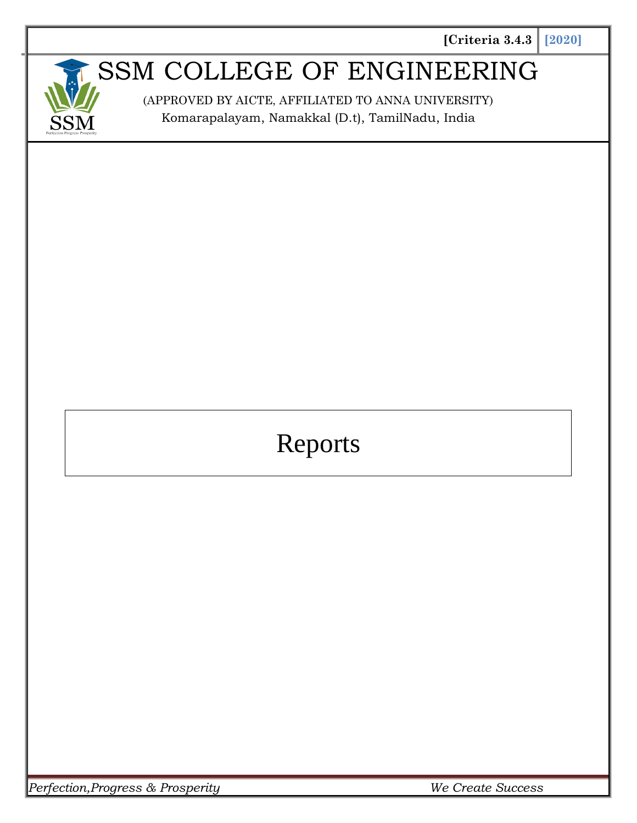

# SSM COLLEGE OF ENGINEERING

(APPROVED BY AICTE, AFFILIATED TO ANNA UNIVERSITY) Komarapalayam, Namakkal (D.t), TamilNadu, India

# Reports

*Perfection,Progress & Prosperity We Create Success*